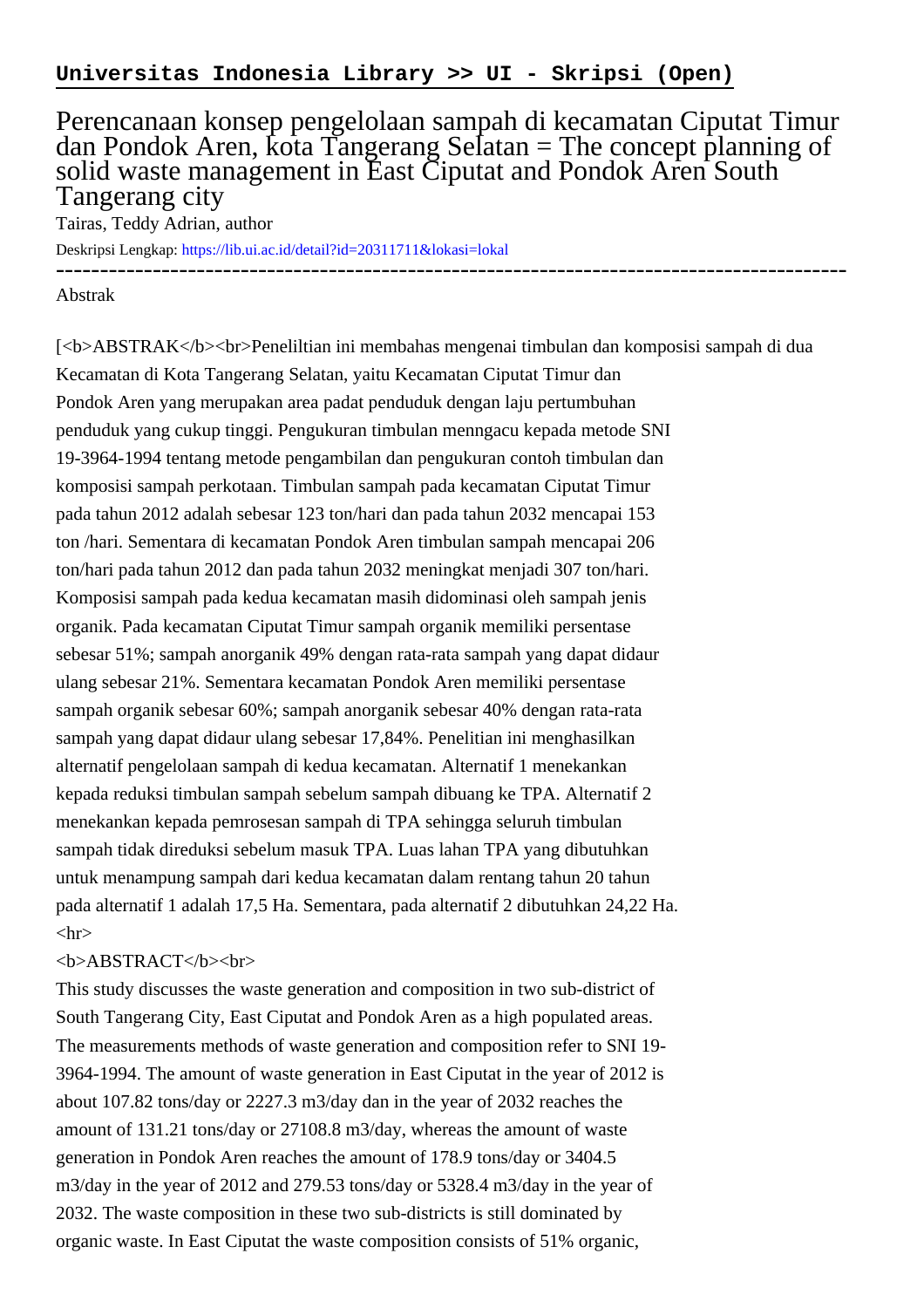## Perencanaan konsep pengelolaan sampah di kecamatan Ciputat Timur dan Pondok Aren, kota Tangerang Selatan = The concept planning of solid waste management in East Ciputat and Pondok Aren South Tangerang city

Tairas, Teddy Adrian, author

Deskripsi Lengkap:<https://lib.ui.ac.id/detail?id=20311711&lokasi=lokal>

------------------------------------------------------------------------------------------ Abstrak

[<b>ABSTRAK</b><br>Peneliltian ini membahas mengenai timbulan dan komposisi sampah di dua Kecamatan di Kota Tangerang Selatan, yaitu Kecamatan Ciputat Timur dan Pondok Aren yang merupakan area padat penduduk dengan laju pertumbuhan penduduk yang cukup tinggi. Pengukuran timbulan menngacu kepada metode SNI 19-3964-1994 tentang metode pengambilan dan pengukuran contoh timbulan dan komposisi sampah perkotaan. Timbulan sampah pada kecamatan Ciputat Timur pada tahun 2012 adalah sebesar 123 ton/hari dan pada tahun 2032 mencapai 153 ton /hari. Sementara di kecamatan Pondok Aren timbulan sampah mencapai 206 ton/hari pada tahun 2012 dan pada tahun 2032 meningkat menjadi 307 ton/hari. Komposisi sampah pada kedua kecamatan masih didominasi oleh sampah jenis organik. Pada kecamatan Ciputat Timur sampah organik memiliki persentase sebesar 51%; sampah anorganik 49% dengan rata-rata sampah yang dapat didaur ulang sebesar 21%. Sementara kecamatan Pondok Aren memiliki persentase sampah organik sebesar 60%; sampah anorganik sebesar 40% dengan rata-rata sampah yang dapat didaur ulang sebesar 17,84%. Penelitian ini menghasilkan alternatif pengelolaan sampah di kedua kecamatan. Alternatif 1 menekankan kepada reduksi timbulan sampah sebelum sampah dibuang ke TPA. Alternatif 2 menekankan kepada pemrosesan sampah di TPA sehingga seluruh timbulan sampah tidak direduksi sebelum masuk TPA. Luas lahan TPA yang dibutuhkan untuk menampung sampah dari kedua kecamatan dalam rentang tahun 20 tahun pada alternatif 1 adalah 17,5 Ha. Sementara, pada alternatif 2 dibutuhkan 24,22 Ha.  $\langle$ hr $>$ 

## <b>ABSTRACT</b><br>

This study discusses the waste generation and composition in two sub-district of South Tangerang City, East Ciputat and Pondok Aren as a high populated areas. The measurements methods of waste generation and composition refer to SNI 19- 3964-1994. The amount of waste generation in East Ciputat in the year of 2012 is about 107.82 tons/day or 2227.3 m3/day dan in the year of 2032 reaches the amount of 131.21 tons/day or 27108.8 m3/day, whereas the amount of waste generation in Pondok Aren reaches the amount of 178.9 tons/day or 3404.5 m3/day in the year of 2012 and 279.53 tons/day or 5328.4 m3/day in the year of 2032. The waste composition in these two sub-districts is still dominated by organic waste. In East Ciputat the waste composition consists of 51% organic,